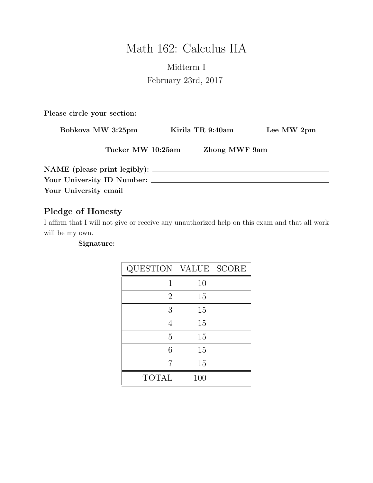# Math 162: Calculus IIA

# Midterm I February 23rd, 2017

Please circle your section:

| Bobkova MW 3:25pm          | Kirila TR 9:40am |               | Lee MW 2pm |
|----------------------------|------------------|---------------|------------|
| Tucker MW 10:25am          |                  | Zhong MWF 9am |            |
|                            |                  |               |            |
| Your University ID Number: |                  |               |            |
|                            |                  |               |            |

## Pledge of Honesty

I affirm that I will not give or receive any unauthorized help on this exam and that all work will be my own.

Signature:

| QUESTION       | <b>VALUE</b> | <b>SCORE</b> |
|----------------|--------------|--------------|
| 1              | 10           |              |
| $\overline{2}$ | 15           |              |
| 3              | 15           |              |
| 4              | 15           |              |
| 5              | 15           |              |
| 6              | 15           |              |
| 7              | 15           |              |
| <b>TOTAL</b>   | 100          |              |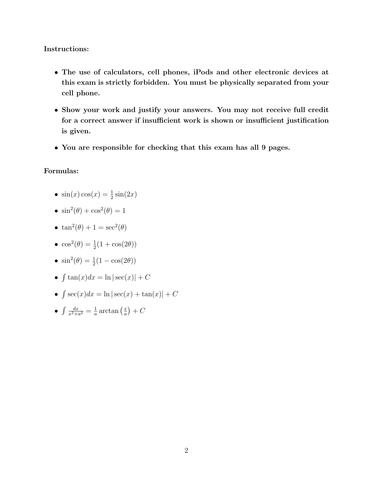#### Instructions:

- The use of calculators, cell phones, iPods and other electronic devices at this exam is strictly forbidden. You must be physically separated from your cell phone.
- Show your work and justify your answers. You may not receive full credit for a correct answer if insufficient work is shown or insufficient justification is given.
- You are responsible for checking that this exam has all 9 pages.

#### Formulas:

- $\sin(x)\cos(x) = \frac{1}{2}\sin(2x)$
- $\sin^2(\theta) + \cos^2(\theta) = 1$
- $\tan^2(\theta) + 1 = \sec^2(\theta)$
- $\cos^2(\theta) = \frac{1}{2}(1 + \cos(2\theta))$
- $\sin^2(\theta) = \frac{1}{2}(1 \cos(2\theta))$
- $\int \tan(x)dx = \ln|\sec(x)| + C$
- $\int \sec(x)dx = \ln|\sec(x) + \tan(x)| + C$
- $\bullet$   $\int \frac{dx}{x^2 + 4}$  $\frac{dx}{x^2+a^2}=\frac{1}{a}$  $\frac{1}{a} \arctan\left(\frac{x}{a}\right)$  $\left(\frac{x}{a}\right) + C$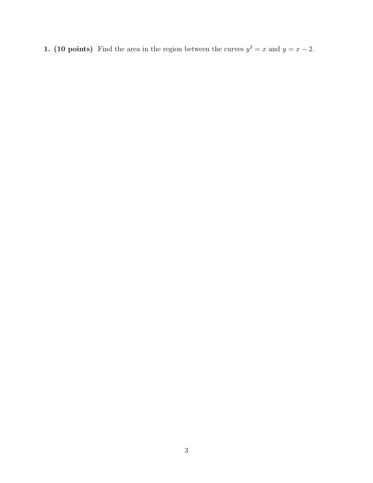1. (10 points) Find the area in the region between the curves  $y^2 = x$  and  $y = x - 2$ .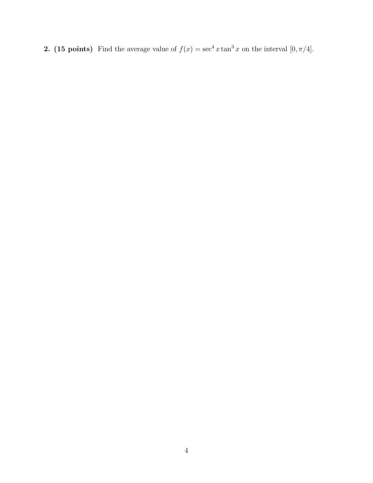2. (15 points) Find the average value of  $f(x) = \sec^4 x \tan^3 x$  on the interval  $[0, \pi/4]$ .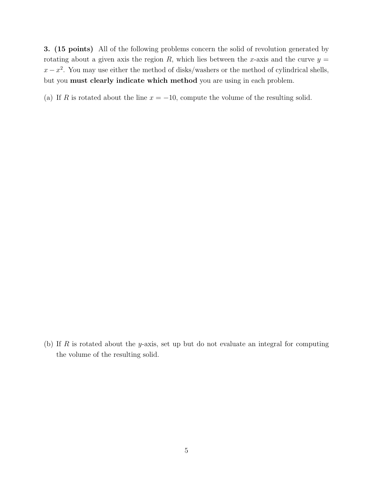3. (15 points) All of the following problems concern the solid of revolution generated by rotating about a given axis the region R, which lies between the x-axis and the curve  $y =$  $x - x^2$ . You may use either the method of disks/washers or the method of cylindrical shells, but you must clearly indicate which method you are using in each problem.

(a) If R is rotated about the line  $x = -10$ , compute the volume of the resulting solid.

(b) If R is rotated about the y-axis, set up but do not evaluate an integral for computing the volume of the resulting solid.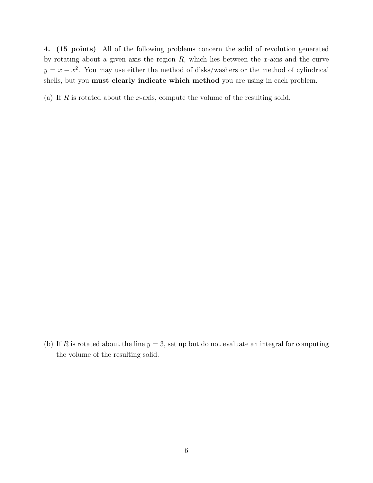4. (15 points) All of the following problems concern the solid of revolution generated by rotating about a given axis the region  $R$ , which lies between the x-axis and the curve  $y = x - x^2$ . You may use either the method of disks/washers or the method of cylindrical shells, but you must clearly indicate which method you are using in each problem.

(a) If R is rotated about the x-axis, compute the volume of the resulting solid.

(b) If R is rotated about the line  $y = 3$ , set up but do not evaluate an integral for computing the volume of the resulting solid.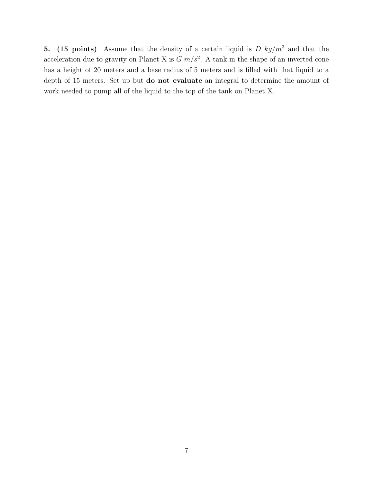5. (15 points) Assume that the density of a certain liquid is  $D \ kg/m^3$  and that the acceleration due to gravity on Planet X is  $G m/s^2$ . A tank in the shape of an inverted cone has a height of 20 meters and a base radius of 5 meters and is filled with that liquid to a depth of 15 meters. Set up but do not evaluate an integral to determine the amount of work needed to pump all of the liquid to the top of the tank on Planet X.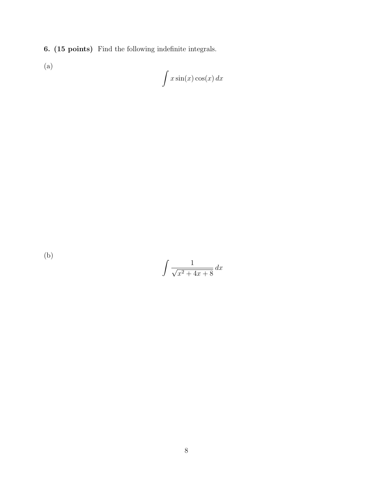6. (15 points) Find the following indefinite integrals.

(a)

$$
\int x \sin(x) \cos(x) \, dx
$$

(b)

$$
\int \frac{1}{\sqrt{x^2 + 4x + 8}} \, dx
$$